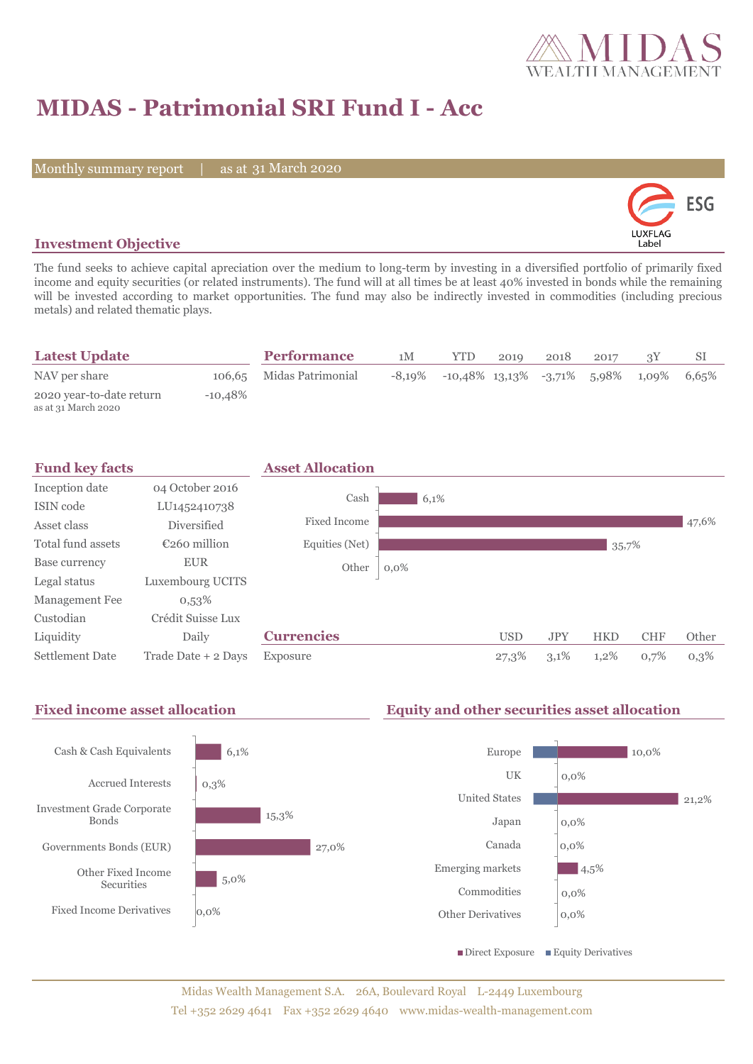

# **MIDAS - Patrimonial SRI Fund I - Acc**

Monthly summary report | as at 31 March 2020



# **Investment Objective**

The fund seeks to achieve capital apreciation over the medium to long-term by investing in a diversified portfolio of primarily fixed income and equity securities (or related instruments). The fund will at all times be at least 40% invested in bonds while the remaining will be invested according to market opportunities. The fund may also be indirectly invested in commodities (including precious metals) and related thematic plays.

| <b>Latest Update</b>                            |            | <b>Performance</b>       | 1M | <b>YTD</b>                                        | 2010 | 2018 | 2017 |          |       |
|-------------------------------------------------|------------|--------------------------|----|---------------------------------------------------|------|------|------|----------|-------|
| NAV per share                                   |            | 106,65 Midas Patrimonial |    | $-8,19\%$ $-10,48\%$ $13,13\%$ $-3,71\%$ $5,98\%$ |      |      |      | $1,09\%$ | 6.65% |
| 2020 year-to-date return<br>as at 31 March 2020 | $-10.48\%$ |                          |    |                                                   |      |      |      |          |       |



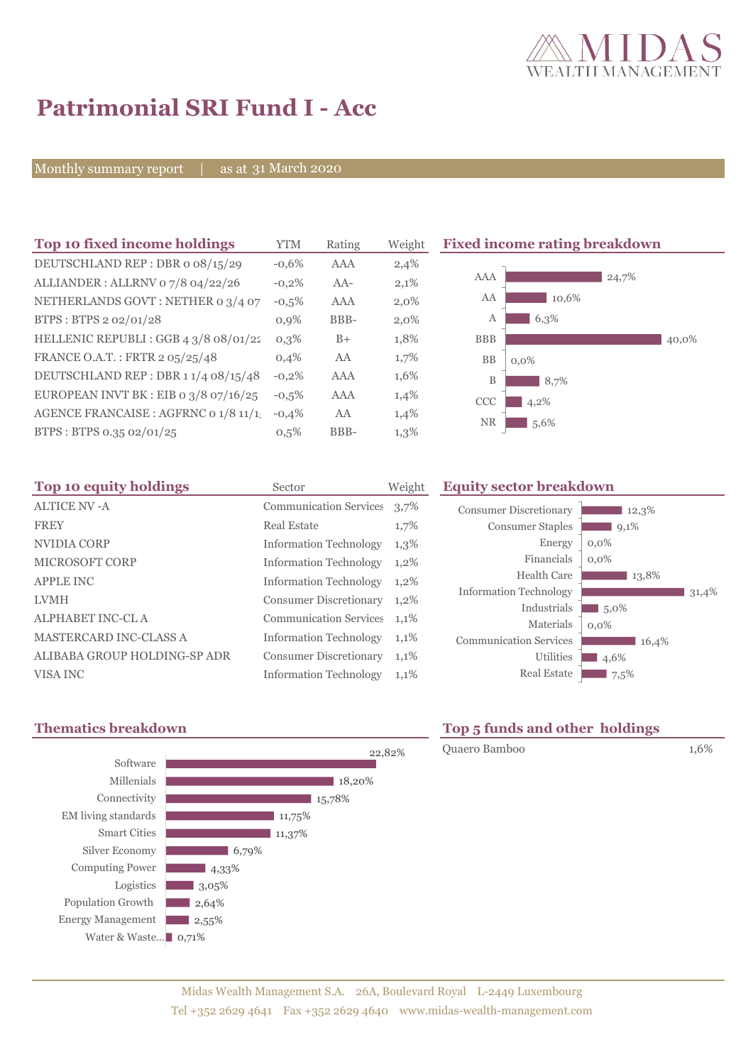

# **Patrimonial SRI Fund I - Acc**

Monthly summary report | as at 31 March 2020

| Top 10 fixed income holdings            | YTM     | Rating | Weight |
|-----------------------------------------|---------|--------|--------|
| DEUTSCHLAND REP: DBR o 08/15/29         | $-0.6%$ | AAA    | 2,4%   |
| ALLIANDER: ALLRNV 07/8 04/22/26         | $-0,2%$ | $AA-$  | 2,1%   |
| NETHERLANDS GOVT: NETHER 0 3/4 07       | $-0,5%$ | AAA    | 2,0%   |
| BTPS: BTPS 2 02/01/28                   | 0,9%    | BBB-   | 2,0%   |
| HELLENIC REPUBLI : GGB 4 3/8 08/01/22   | 0,3%    | $B+$   | 1,8%   |
| FRANCE O.A.T.: FRTR 2 05/25/48          | 0.4%    | AA     | 1,7%   |
| DEUTSCHLAND REP: DBR 11/4 08/15/48      | $-0,2%$ | AAA    | 1,6%   |
| EUROPEAN INVT BK : EIB o $3/8$ 07/16/25 | $-0.5%$ | AAA    | 1,4%   |
| AGENCE FRANCAISE : AGFRNC 0 1/8 11/1    | $-0,4%$ | AA     | 1,4%   |
| BTPS: BTPS 0.35 02/01/25                | 0.5%    | BBB-   | 1,3%   |
|                                         |         |        |        |

**The 10 fixed income rating breakdown** 



| Top 10 equity holdings        | Sector                        | Weigh |
|-------------------------------|-------------------------------|-------|
| <b>ALTICE NV-A</b>            | <b>Communication Services</b> | 3,7%  |
| <b>FREY</b>                   | <b>Real Estate</b>            | 1,7%  |
| NVIDIA CORP                   | <b>Information Technology</b> | 1,3%  |
| <b>MICROSOFT CORP</b>         | <b>Information Technology</b> | 1,2%  |
| <b>APPLE INC</b>              | <b>Information Technology</b> | 1,2%  |
| <b>LVMH</b>                   | <b>Consumer Discretionary</b> | 1,2%  |
| <b>ALPHABET INC-CL A</b>      | <b>Communication Services</b> | 1,1%  |
| <b>MASTERCARD INC-CLASS A</b> | <b>Information Technology</b> | 1,1%  |
| ALIBABA GROUP HOLDING-SP ADR  | <b>Consumer Discretionary</b> | 1,1%  |
| VISA INC                      | <b>Information Technology</b> | 1,1%  |

### **The Equity sector breakdown**

| <b>Consumer Discretionary</b> | 12,3%   |
|-------------------------------|---------|
| <b>Consumer Staples</b>       | 9,1%    |
| Energy                        | $0,0\%$ |
| Financials                    | $0.0\%$ |
| Health Care                   | 13,8%   |
| <b>Information Technology</b> | 31,4%   |
| Industrials                   | 5.0%    |
| Materials                     | $0.0\%$ |
| <b>Communication Services</b> | 16,4%   |
| <b>Utilities</b>              | 4,6%    |
| <b>Real Estate</b>            | 7,5%    |



# **Thematics breakdown Top 5 funds and other holdings**

Quaero Bamboo 1,6%